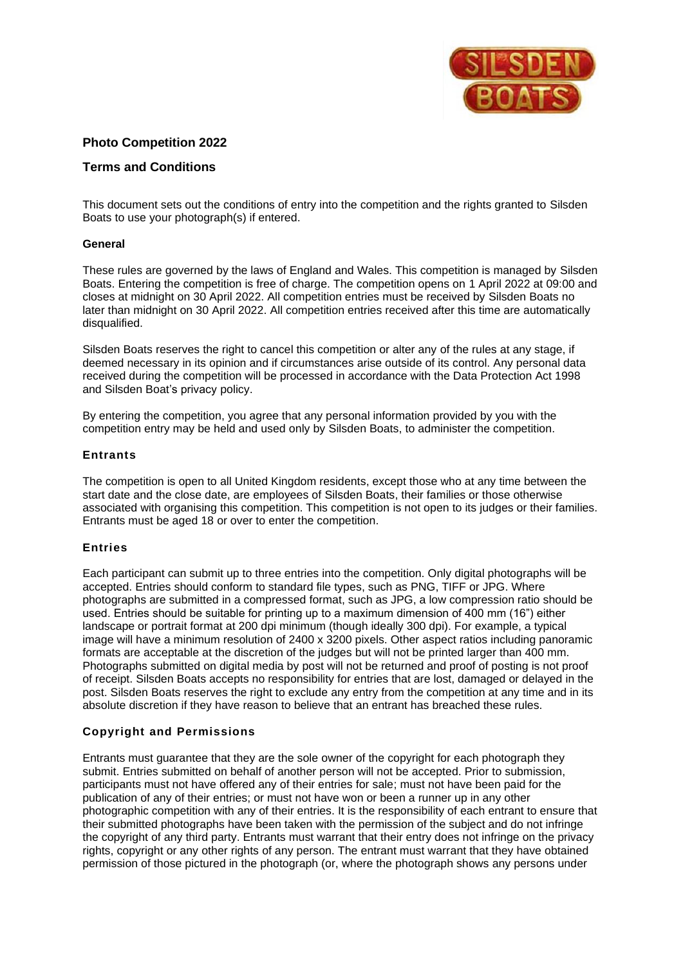

# **Photo Competition 2022**

## **Terms and Conditions**

This document sets out the conditions of entry into the competition and the rights granted to Silsden Boats to use your photograph(s) if entered.

### **General**

These rules are governed by the laws of England and Wales. This competition is managed by Silsden Boats. Entering the competition is free of charge. The competition opens on 1 April 2022 at 09:00 and closes at midnight on 30 April 2022. All competition entries must be received by Silsden Boats no later than midnight on 30 April 2022. All competition entries received after this time are automatically disqualified.

Silsden Boats reserves the right to cancel this competition or alter any of the rules at any stage, if deemed necessary in its opinion and if circumstances arise outside of its control. Any personal data received during the competition will be processed in accordance with the Data Protection Act 1998 and Silsden Boat's privacy policy.

By entering the competition, you agree that any personal information provided by you with the competition entry may be held and used only by Silsden Boats, to administer the competition.

### **Entrants**

The competition is open to all United Kingdom residents, except those who at any time between the start date and the close date, are employees of Silsden Boats, their families or those otherwise associated with organising this competition. This competition is not open to its judges or their families. Entrants must be aged 18 or over to enter the competition.

#### **Entries**

Each participant can submit up to three entries into the competition. Only digital photographs will be accepted. Entries should conform to standard file types, such as PNG, TIFF or JPG. Where photographs are submitted in a compressed format, such as JPG, a low compression ratio should be used. Entries should be suitable for printing up to a maximum dimension of 400 mm (16") either landscape or portrait format at 200 dpi minimum (though ideally 300 dpi). For example, a typical image will have a minimum resolution of 2400 x 3200 pixels. Other aspect ratios including panoramic formats are acceptable at the discretion of the judges but will not be printed larger than 400 mm. Photographs submitted on digital media by post will not be returned and proof of posting is not proof of receipt. Silsden Boats accepts no responsibility for entries that are lost, damaged or delayed in the post. Silsden Boats reserves the right to exclude any entry from the competition at any time and in its absolute discretion if they have reason to believe that an entrant has breached these rules.

### **Copyright and Permissions**

Entrants must guarantee that they are the sole owner of the copyright for each photograph they submit. Entries submitted on behalf of another person will not be accepted. Prior to submission, participants must not have offered any of their entries for sale; must not have been paid for the publication of any of their entries; or must not have won or been a runner up in any other photographic competition with any of their entries. It is the responsibility of each entrant to ensure that their submitted photographs have been taken with the permission of the subject and do not infringe the copyright of any third party. Entrants must warrant that their entry does not infringe on the privacy rights, copyright or any other rights of any person. The entrant must warrant that they have obtained permission of those pictured in the photograph (or, where the photograph shows any persons under